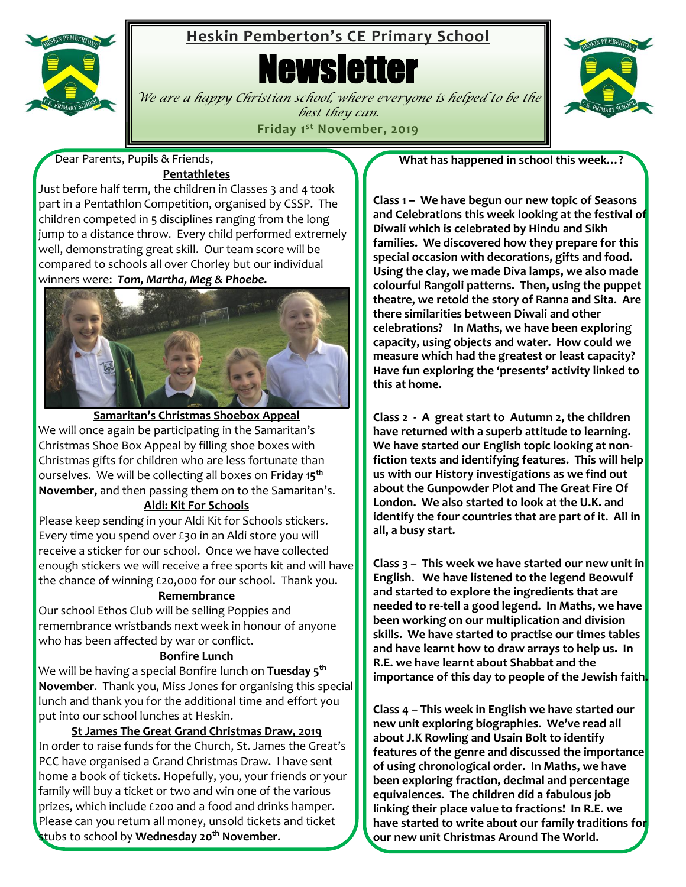

# **Heskin Pemberton's CE Primary School**

**Newsletter** 



*We are a happy Christian school, where everyone is helped to be the best they can.* **Friday 1 st November, 2019**

 Dear Parents, Pupils & Friends, **Pentathletes**

Just before half term, the children in Classes 3 and 4 took part in a Pentathlon Competition, organised by CSSP. The children competed in 5 disciplines ranging from the long jump to a distance throw. Every child performed extremely well, demonstrating great skill. Our team score will be compared to schools all over Chorley but our individual winners were: *Tom, Martha, Meg & Phoebe.*



**Samaritan's Christmas Shoebox Appeal** We will once again be participating in the Samaritan's Christmas Shoe Box Appeal by filling shoe boxes with Christmas gifts for children who are less fortunate than ourselves. We will be collecting all boxes on **Friday 15 th November,** and then passing them on to the Samaritan's.

## **Aldi: Kit For Schools**

Please keep sending in your Aldi Kit for Schools stickers. Every time you spend over £30 in an Aldi store you will receive a sticker for our school. Once we have collected enough stickers we will receive a free sports kit and will have the chance of winning £20,000 for our school. Thank you.

## **Remembrance**

Our school Ethos Club will be selling Poppies and remembrance wristbands next week in honour of anyone who has been affected by war or conflict.

## **Bonfire Lunch**

We will be having a special Bonfire lunch on **Tuesday 5 th November**. Thank you, Miss Jones for organising this special lunch and thank you for the additional time and effort you put into our school lunches at Heskin.

**St James The Great Grand Christmas Draw, 2019** In order to raise funds for the Church, St. James the Great's PCC have organised a Grand Christmas Draw. I have sent home a book of tickets. Hopefully, you, your friends or your family will buy a ticket or two and win one of the various prizes, which include £200 and a food and drinks hamper. Please can you return all money, unsold tickets and ticket stubs to school by **Wednesday 20th November.**

**What has happened in school this week…?**

**Class 1 – We have begun our new topic of Seasons and Celebrations this week looking at the festival of Diwali which is celebrated by Hindu and Sikh families. We discovered how they prepare for this special occasion with decorations, gifts and food. Using the clay, we made Diva lamps, we also made colourful Rangoli patterns. Then, using the puppet theatre, we retold the story of Ranna and Sita. Are there similarities between Diwali and other celebrations? In Maths, we have been exploring capacity, using objects and water. How could we measure which had the greatest or least capacity? Have fun exploring the 'presents' activity linked to this at home.**

**Class 2 - A great start to Autumn 2, the children have returned with a superb attitude to learning. We have started our English topic looking at nonfiction texts and identifying features. This will help us with our History investigations as we find out about the Gunpowder Plot and The Great Fire Of London. We also started to look at the U.K. and identify the four countries that are part of it. All in all, a busy start.**

**Class 3 – This week we have started our new unit in English. We have listened to the legend Beowulf and started to explore the ingredients that are needed to re-tell a good legend. In Maths, we have been working on our multiplication and division skills. We have started to practise our times tables and have learnt how to draw arrays to help us. In R.E. we have learnt about Shabbat and the importance of this day to people of the Jewish faith.** 

 **our new unit Christmas Around The World.Class 4 – This week in English we have started our new unit exploring biographies. We've read all about J.K Rowling and Usain Bolt to identify features of the genre and discussed the importance of using chronological order. In Maths, we have been exploring fraction, decimal and percentage equivalences. The children did a fabulous job linking their place value to fractions! In R.E. we have started to write about our family traditions for**